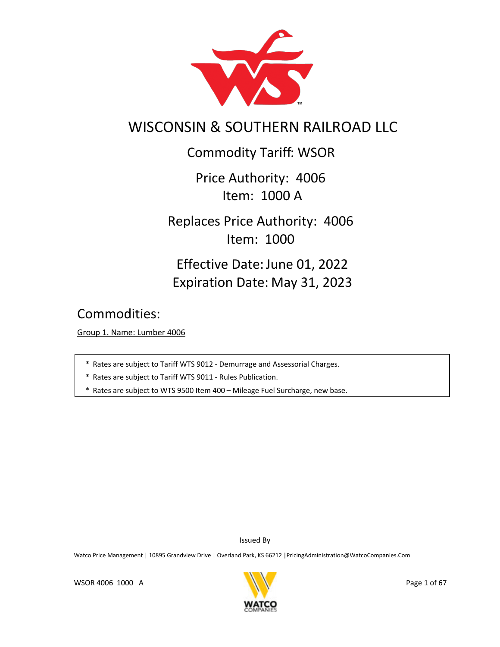

# WISCONSIN & SOUTHERN RAILROAD LLC

Commodity Tariff: WSOR

Price Authority: 4006 Item: 1000 A

Replaces Price Authority: 4006 Item: 1000

Effective Date: June 01, 2022 Expiration Date: May 31, 2023

Commodities:

Group 1. Name: Lumber 4006

- \* Rates are subject to Tariff WTS 9012 Demurrage and Assessorial Charges.
- \* Rates are subject to Tariff WTS 9011 Rules Publication.
- \* Rates are subject to WTS 9500 Item 400 Mileage Fuel Surcharge, new base.

Issued By

Watco Price Management | 10895 Grandview Drive | Overland Park, KS 66212 | PricingAdministration@WatcoCompanies.Com

WSOR 4006 1000 A

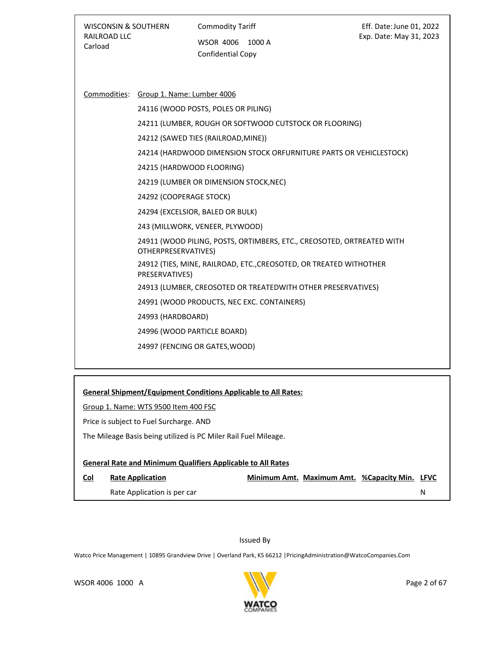| <b>WISCONSIN &amp; SOUTHERN</b><br>RAILROAD LLC<br>Carload |                                                                                                                                  | <b>Commodity Tariff</b><br><b>WSOR 4006</b><br>1000 A<br>Confidential Copy                                                                                                                                                                                                                                                                                                                                                                                                                                                                                                                                                                                                             | Eff. Date: June 01, 2022<br>Exp. Date: May 31, 2023 |
|------------------------------------------------------------|----------------------------------------------------------------------------------------------------------------------------------|----------------------------------------------------------------------------------------------------------------------------------------------------------------------------------------------------------------------------------------------------------------------------------------------------------------------------------------------------------------------------------------------------------------------------------------------------------------------------------------------------------------------------------------------------------------------------------------------------------------------------------------------------------------------------------------|-----------------------------------------------------|
|                                                            | Commodities: Group 1. Name: Lumber 4006<br>24292 (COOPERAGE STOCK)<br>OTHERPRESERVATIVES)<br>PRESERVATIVES)<br>24993 (HARDBOARD) | 24116 (WOOD POSTS, POLES OR PILING)<br>24211 (LUMBER, ROUGH OR SOFTWOOD CUTSTOCK OR FLOORING)<br>24212 (SAWED TIES (RAILROAD, MINE))<br>24214 (HARDWOOD DIMENSION STOCK ORFURNITURE PARTS OR VEHICLESTOCK)<br>24215 (HARDWOOD FLOORING)<br>24219 (LUMBER OR DIMENSION STOCK, NEC)<br>24294 (EXCELSIOR, BALED OR BULK)<br>243 (MILLWORK, VENEER, PLYWOOD)<br>24911 (WOOD PILING, POSTS, ORTIMBERS, ETC., CREOSOTED, ORTREATED WITH<br>24912 (TIES, MINE, RAILROAD, ETC., CREOSOTED, OR TREATED WITHOTHER<br>24913 (LUMBER, CREOSOTED OR TREATEDWITH OTHER PRESERVATIVES)<br>24991 (WOOD PRODUCTS, NEC EXC. CONTAINERS)<br>24996 (WOOD PARTICLE BOARD)<br>24997 (FENCING OR GATES, WOOD) |                                                     |
|                                                            | Group 1. Name: WTS 9500 Item 400 FSC<br>Price is subject to Fuel Surcharge. AND                                                  | <b>General Shipment/Equipment Conditions Applicable to All Rates:</b><br>The Mileage Basis being utilized is PC Miler Rail Fuel Mileage.                                                                                                                                                                                                                                                                                                                                                                                                                                                                                                                                               |                                                     |

# **General Rate and Minimum Qualifiers Applicable to All Rates**

| <u>Col</u> | <b>Rate Application</b>     |  | Minimum Amt. Maximum Amt. %Capacity Min. LFVC |  |
|------------|-----------------------------|--|-----------------------------------------------|--|
|            | Rate Application is per car |  |                                               |  |

# Issued By

Watco Price Management | 10895 Grandview Drive | Overland Park, KS 66212 |PricingAdministration@WatcoCompanies.Com

WSOR 4006 1000 A

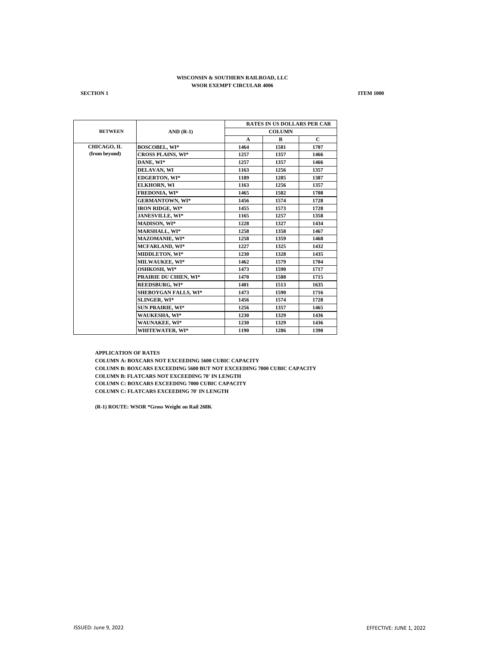**SECTION 1 ITEM 1000** 

|                |                             | <b>RATES IN US DOLLARS PER CAR</b> |      |              |  |
|----------------|-----------------------------|------------------------------------|------|--------------|--|
| <b>BETWEEN</b> | $AND(R-1)$                  | <b>COLUMN</b>                      |      |              |  |
|                |                             | $\mathbf{A}$                       | B    | $\mathbf{C}$ |  |
| CHICAGO, IL    | <b>BOSCOBEL, WI*</b>        | 1464                               | 1581 | 1707         |  |
| (from beyond)  | <b>CROSS PLAINS, WI*</b>    | 1257                               | 1357 | 1466         |  |
|                | DANE, WI*                   | 1257                               | 1357 | 1466         |  |
|                | <b>DELAVAN, WI</b>          | 1163                               | 1256 | 1357         |  |
|                | <b>EDGERTON, WI*</b>        | 1189                               | 1285 | 1387         |  |
|                | <b>ELKHORN, WI</b>          | 1163                               | 1256 | 1357         |  |
|                | <b>FREDONIA, WI*</b>        | 1465                               | 1582 | 1708         |  |
|                | <b>GERMANTOWN, WI*</b>      | 1456                               | 1574 | 1728         |  |
|                | <b>IRON RIDGE, WI*</b>      | 1455                               | 1573 | 1728         |  |
|                | JANESVILLE, WI*             | 1165                               | 1257 | 1358         |  |
|                | <b>MADISON, WI*</b>         | 1228                               | 1327 | 1434         |  |
|                | MARSHALL, WI*               | 1258                               | 1358 | 1467         |  |
|                | <b>MAZOMANIE, WI*</b>       | 1258                               | 1359 | 1468         |  |
|                | <b>MCFARLAND, WI*</b>       | 1227                               | 1325 | 1432         |  |
|                | <b>MIDDLETON, WI*</b>       | 1230                               | 1328 | 1435         |  |
|                | <b>MILWAUKEE, WI*</b>       | 1462                               | 1579 | 1704         |  |
|                | <b>OSHKOSH, WI*</b>         | 1473                               | 1590 | 1717         |  |
|                | PRAIRIE DU CHIEN, WI*       | 1470                               | 1588 | 1715         |  |
|                | <b>REEDSBURG, WI*</b>       | 1401                               | 1513 | 1635         |  |
|                | <b>SHEBOYGAN FALLS, WI*</b> | 1473                               | 1590 | 1716         |  |
|                | <b>SLINGER, WI*</b>         | 1456                               | 1574 | 1728         |  |
|                | <b>SUN PRAIRIE, WI*</b>     | 1256                               | 1357 | 1465         |  |
|                | <b>WAUKESHA, WI*</b>        | 1230                               | 1329 | 1436         |  |
|                | WAUNAKEE, WI*               | 1230                               | 1329 | 1436         |  |
|                | <b>WHITEWATER, WI*</b>      | 1190                               | 1286 | 1390         |  |

**APPLICATION OF RATES COLUMN A: BOXCARS NOT EXCEEDING 5600 CUBIC CAPACITY COLUMN B: BOXCARS EXCEEDING 5600 BUT NOT EXCEEDING 7000 CUBIC CAPACITY COLUMN B: FLATCARS NOT EXCEEDING 70' IN LENGTH COLUMN C: BOXCARS EXCEEDING 7000 CUBIC CAPACITY COLUMN C: FLATCARS EXCEEDING 70' IN LENGTH**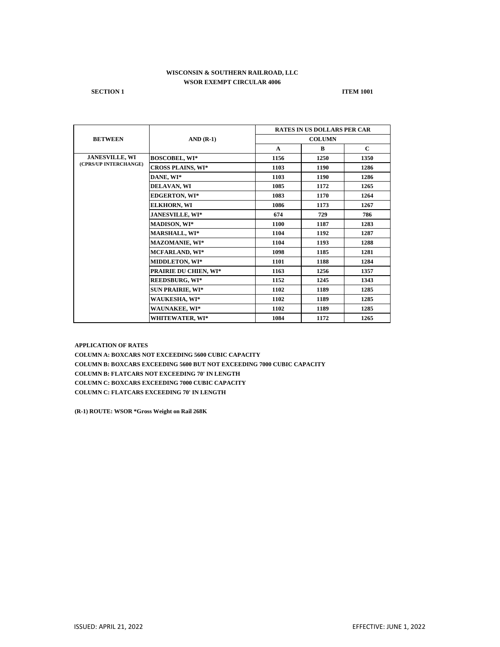**SECTION 1 ITEM 1001** 

|                       | $AND(R-1)$                   | <b>RATES IN US DOLLARS PER CAR</b> |      |              |
|-----------------------|------------------------------|------------------------------------|------|--------------|
| <b>BETWEEN</b>        |                              | <b>COLUMN</b>                      |      |              |
|                       |                              | $\mathbf{A}$                       | B    | $\mathbf{C}$ |
| <b>JANESVILLE, WI</b> | <b>BOSCOBEL, WI*</b>         | 1156                               | 1250 | 1350         |
| (CPRS/UP INTERCHANGE) | <b>CROSS PLAINS, WI*</b>     | 1103                               | 1190 | 1286         |
|                       | DANE, WI*                    | 1103                               | 1190 | 1286         |
|                       | DELAVAN, WI                  | 1085                               | 1172 | 1265         |
|                       | <b>EDGERTON, WI*</b>         | 1083                               | 1170 | 1264         |
|                       | <b>ELKHORN, WI</b>           | 1086                               | 1173 | 1267         |
|                       | JANESVILLE, WI*              | 674                                | 729  | 786          |
|                       | <b>MADISON, WI*</b>          | 1100                               | 1187 | 1283         |
|                       | <b>MARSHALL, WI*</b>         | 1104                               | 1192 | 1287         |
|                       | <b>MAZOMANIE, WI*</b>        | 1104                               | 1193 | 1288         |
|                       | <b>MCFARLAND, WI*</b>        | 1098                               | 1185 | 1281         |
|                       | <b>MIDDLETON, WI*</b>        | 1101                               | 1188 | 1284         |
|                       | <b>PRAIRIE DU CHIEN, WI*</b> | 1163                               | 1256 | 1357         |
|                       | <b>REEDSBURG, WI*</b>        | 1152                               | 1245 | 1343         |
|                       | <b>SUN PRAIRIE, WI*</b>      | 1102                               | 1189 | 1285         |
|                       | WAUKESHA, WI*                | 1102                               | 1189 | 1285         |
|                       | WAUNAKEE, WI*                | 1102                               | 1189 | 1285         |
|                       | WHITEWATER, WI*              | 1084                               | 1172 | 1265         |

**APPLICATION OF RATES**

**COLUMN A: BOXCARS NOT EXCEEDING 5600 CUBIC CAPACITY COLUMN B: BOXCARS EXCEEDING 5600 BUT NOT EXCEEDING 7000 CUBIC CAPACITY COLUMN B: FLATCARS NOT EXCEEDING 70' IN LENGTH COLUMN C: BOXCARS EXCEEDING 7000 CUBIC CAPACITY COLUMN C: FLATCARS EXCEEDING 70' IN LENGTH**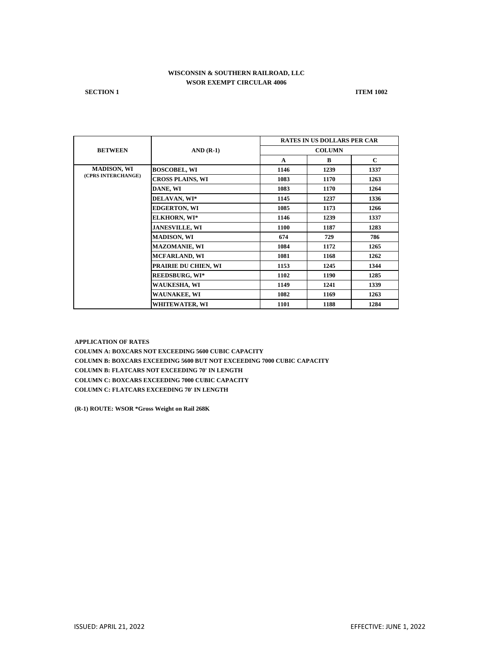**SECTION 1 ITEM 1002** 

|                    | $AND(R-1)$              | <b>RATES IN US DOLLARS PER CAR</b> |      |              |
|--------------------|-------------------------|------------------------------------|------|--------------|
| <b>BETWEEN</b>     |                         | <b>COLUMN</b>                      |      |              |
|                    |                         | $\mathbf{A}$                       | B    | $\mathbf{C}$ |
| <b>MADISON, WI</b> | <b>BOSCOBEL, WI</b>     | 1146                               | 1239 | 1337         |
| (CPRS INTERCHANGE) | <b>CROSS PLAINS, WI</b> | 1083                               | 1170 | 1263         |
|                    | DANE, WI                | 1083                               | 1170 | 1264         |
|                    | DELAVAN, WI*            | 1145                               | 1237 | 1336         |
|                    | <b>EDGERTON, WI</b>     | 1085                               | 1173 | 1266         |
|                    | <b>ELKHORN, WI*</b>     | 1146                               | 1239 | 1337         |
|                    | <b>JANESVILLE, WI</b>   | 1100                               | 1187 | 1283         |
|                    | <b>MADISON, WI</b>      | 674                                | 729  | 786          |
|                    | <b>MAZOMANIE, WI</b>    | 1084                               | 1172 | 1265         |
|                    | <b>MCFARLAND, WI</b>    | 1081                               | 1168 | 1262         |
|                    | PRAIRIE DU CHIEN, WI    | 1153                               | 1245 | 1344         |
|                    | <b>REEDSBURG, WI*</b>   | 1102                               | 1190 | 1285         |
|                    | WAUKESHA, WI            | 1149                               | 1241 | 1339         |
|                    | <b>WAUNAKEE, WI</b>     | 1082                               | 1169 | 1263         |
|                    | WHITEWATER, WI          | 1101                               | 1188 | 1284         |

**APPLICATION OF RATES**

**COLUMN A: BOXCARS NOT EXCEEDING 5600 CUBIC CAPACITY COLUMN B: BOXCARS EXCEEDING 5600 BUT NOT EXCEEDING 7000 CUBIC CAPACITY COLUMN B: FLATCARS NOT EXCEEDING 70' IN LENGTH COLUMN C: BOXCARS EXCEEDING 7000 CUBIC CAPACITY COLUMN C: FLATCARS EXCEEDING 70' IN LENGTH**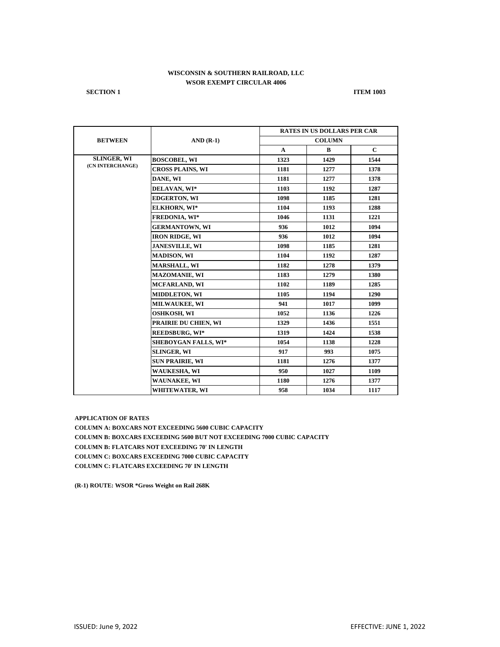**SECTION 1 ITEM 1003** 

|                    | $AND(R-1)$                  | <b>RATES IN US DOLLARS PER CAR</b> |      |              |  |
|--------------------|-----------------------------|------------------------------------|------|--------------|--|
| <b>BETWEEN</b>     |                             | <b>COLUMN</b>                      |      |              |  |
|                    |                             | $\mathbf{A}$                       | B    | $\mathbf{C}$ |  |
| <b>SLINGER, WI</b> | <b>BOSCOBEL, WI</b>         | 1323                               | 1429 | 1544         |  |
| (CN INTERCHANGE)   | <b>CROSS PLAINS, WI</b>     | 1181                               | 1277 | 1378         |  |
|                    | DANE, WI                    | 1181                               | 1277 | 1378         |  |
|                    | DELAVAN, WI*                | 1103                               | 1192 | 1287         |  |
|                    | <b>EDGERTON, WI</b>         | 1098                               | 1185 | 1281         |  |
|                    | ELKHORN, WI*                | 1104                               | 1193 | 1288         |  |
|                    | <b>FREDONIA, WI*</b>        | 1046                               | 1131 | 1221         |  |
|                    | <b>GERMANTOWN, WI</b>       | 936                                | 1012 | 1094         |  |
|                    | <b>IRON RIDGE, WI</b>       | 936                                | 1012 | 1094         |  |
|                    | <b>JANESVILLE, WI</b>       | 1098                               | 1185 | 1281         |  |
|                    | <b>MADISON, WI</b>          | 1104                               | 1192 | 1287         |  |
|                    | <b>MARSHALL, WI</b>         | 1182                               | 1278 | 1379         |  |
|                    | <b>MAZOMANIE, WI</b>        | 1183                               | 1279 | 1380         |  |
|                    | <b>MCFARLAND, WI</b>        | 1102                               | 1189 | 1285         |  |
|                    | <b>MIDDLETON, WI</b>        | 1105                               | 1194 | 1290         |  |
|                    | <b>MILWAUKEE, WI</b>        | 941                                | 1017 | 1099         |  |
|                    | <b>OSHKOSH, WI</b>          | 1052                               | 1136 | 1226         |  |
|                    | PRAIRIE DU CHIEN, WI        | 1329                               | 1436 | 1551         |  |
|                    | <b>REEDSBURG, WI*</b>       | 1319                               | 1424 | 1538         |  |
|                    | <b>SHEBOYGAN FALLS, WI*</b> | 1054                               | 1138 | 1228         |  |
|                    | <b>SLINGER, WI</b>          | 917                                | 993  | 1075         |  |
|                    | <b>SUN PRAIRIE, WI</b>      | 1181                               | 1276 | 1377         |  |
|                    | <b>WAUKESHA, WI</b>         | 950                                | 1027 | 1109         |  |
|                    | WAUNAKEE, WI                | 1180                               | 1276 | 1377         |  |
|                    | WHITEWATER, WI              | 958                                | 1034 | 1117         |  |

**APPLICATION OF RATES**

**COLUMN A: BOXCARS NOT EXCEEDING 5600 CUBIC CAPACITY COLUMN B: BOXCARS EXCEEDING 5600 BUT NOT EXCEEDING 7000 CUBIC CAPACITY COLUMN B: FLATCARS NOT EXCEEDING 70' IN LENGTH COLUMN C: BOXCARS EXCEEDING 7000 CUBIC CAPACITY COLUMN C: FLATCARS EXCEEDING 70' IN LENGTH**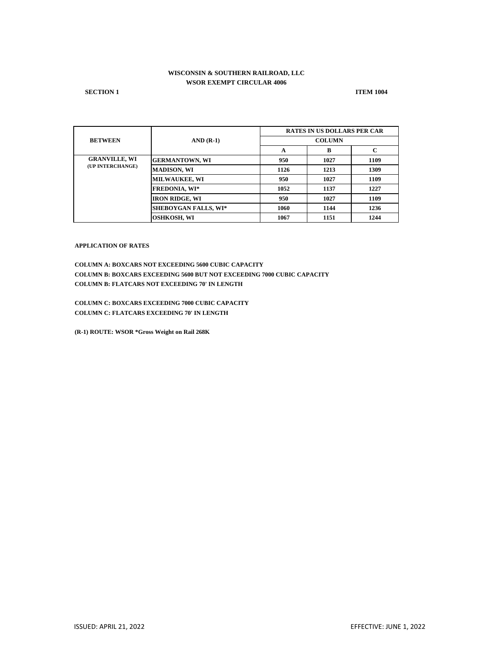**SECTION 1 ITEM 1004** 

|                      | $AND(R-1)$                  | <b>RATES IN US DOLLARS PER CAR</b> |               |      |  |  |
|----------------------|-----------------------------|------------------------------------|---------------|------|--|--|
| <b>BETWEEN</b>       |                             |                                    | <b>COLUMN</b> |      |  |  |
|                      |                             | A                                  | B             | C    |  |  |
| <b>GRANVILLE, WI</b> | <b>GERMANTOWN, WI</b>       | 950                                | 1027          | 1109 |  |  |
| (UP INTERCHANGE)     | <b>MADISON, WI</b>          | 1126                               | 1213          | 1309 |  |  |
|                      | <b>MILWAUKEE, WI</b>        | 950                                | 1027          | 1109 |  |  |
|                      | <b>FREDONIA, WI*</b>        | 1052                               | 1137          | 1227 |  |  |
|                      | <b>IRON RIDGE, WI</b>       | 950                                | 1027          | 1109 |  |  |
|                      | <b>SHEBOYGAN FALLS, WI*</b> | 1060                               | 1144          | 1236 |  |  |
|                      | <b>OSHKOSH, WI</b>          | 1067                               | 1151          | 1244 |  |  |

#### **APPLICATION OF RATES**

**COLUMN A: BOXCARS NOT EXCEEDING 5600 CUBIC CAPACITY COLUMN B: BOXCARS EXCEEDING 5600 BUT NOT EXCEEDING 7000 CUBIC CAPACITY COLUMN B: FLATCARS NOT EXCEEDING 70' IN LENGTH**

**COLUMN C: BOXCARS EXCEEDING 7000 CUBIC CAPACITY COLUMN C: FLATCARS EXCEEDING 70' IN LENGTH**